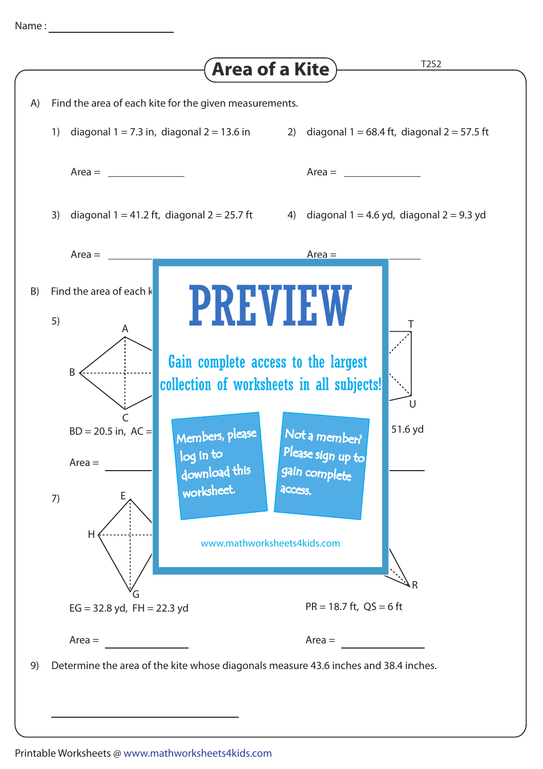